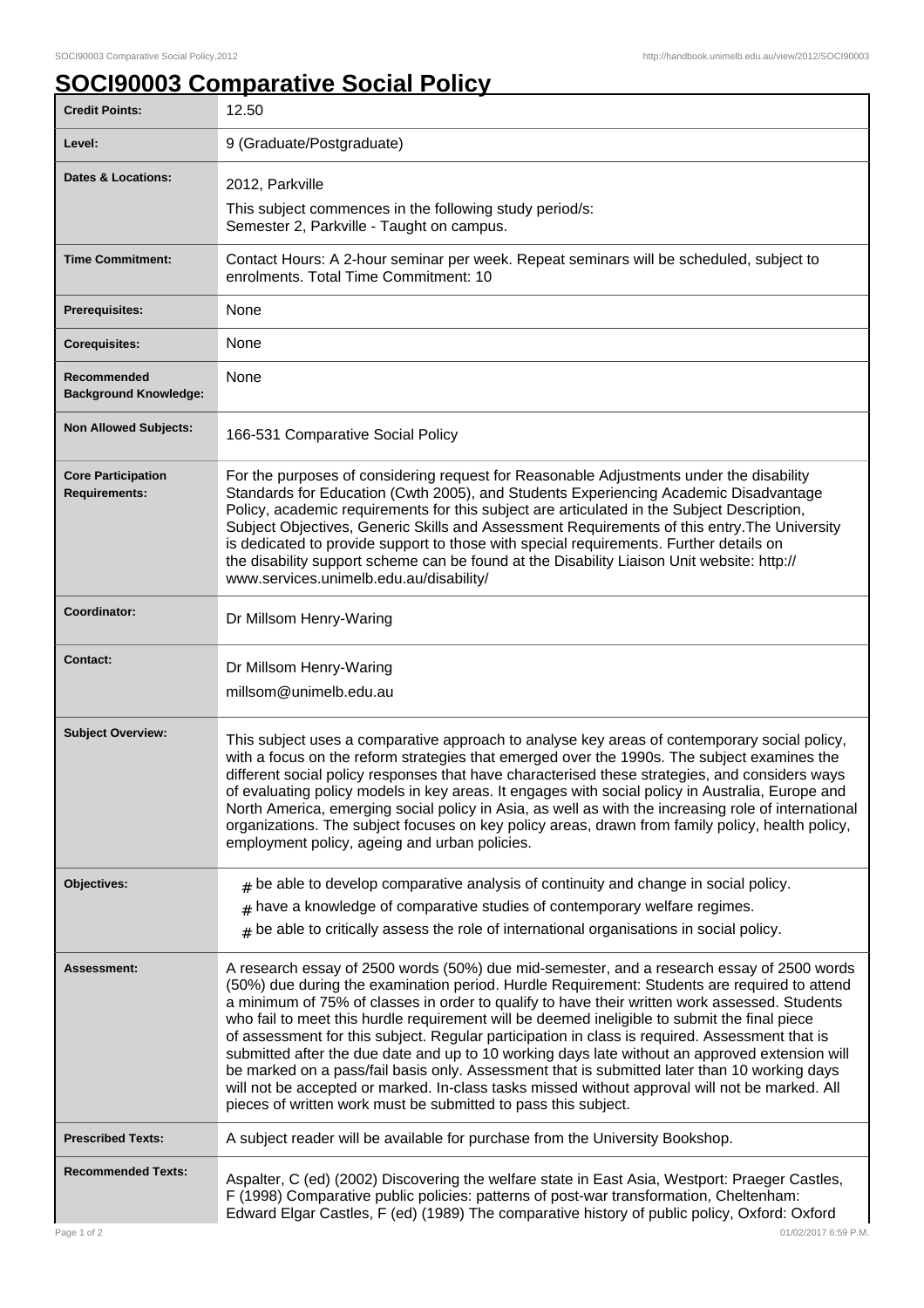## **SOCI90003 Comparative Social Policy**

| <b>Credit Points:</b>                             | 12.50                                                                                                                                                                                                                                                                                                                                                                                                                                                                                                                                                                                                                                                                                                                                                                                                                                                              |
|---------------------------------------------------|--------------------------------------------------------------------------------------------------------------------------------------------------------------------------------------------------------------------------------------------------------------------------------------------------------------------------------------------------------------------------------------------------------------------------------------------------------------------------------------------------------------------------------------------------------------------------------------------------------------------------------------------------------------------------------------------------------------------------------------------------------------------------------------------------------------------------------------------------------------------|
| Level:                                            | 9 (Graduate/Postgraduate)                                                                                                                                                                                                                                                                                                                                                                                                                                                                                                                                                                                                                                                                                                                                                                                                                                          |
| <b>Dates &amp; Locations:</b>                     | 2012, Parkville                                                                                                                                                                                                                                                                                                                                                                                                                                                                                                                                                                                                                                                                                                                                                                                                                                                    |
|                                                   | This subject commences in the following study period/s:<br>Semester 2, Parkville - Taught on campus.                                                                                                                                                                                                                                                                                                                                                                                                                                                                                                                                                                                                                                                                                                                                                               |
| <b>Time Commitment:</b>                           | Contact Hours: A 2-hour seminar per week. Repeat seminars will be scheduled, subject to<br>enrolments. Total Time Commitment: 10                                                                                                                                                                                                                                                                                                                                                                                                                                                                                                                                                                                                                                                                                                                                   |
| <b>Prerequisites:</b>                             | None                                                                                                                                                                                                                                                                                                                                                                                                                                                                                                                                                                                                                                                                                                                                                                                                                                                               |
| <b>Corequisites:</b>                              | None                                                                                                                                                                                                                                                                                                                                                                                                                                                                                                                                                                                                                                                                                                                                                                                                                                                               |
| Recommended<br><b>Background Knowledge:</b>       | None                                                                                                                                                                                                                                                                                                                                                                                                                                                                                                                                                                                                                                                                                                                                                                                                                                                               |
| <b>Non Allowed Subjects:</b>                      | 166-531 Comparative Social Policy                                                                                                                                                                                                                                                                                                                                                                                                                                                                                                                                                                                                                                                                                                                                                                                                                                  |
| <b>Core Participation</b><br><b>Requirements:</b> | For the purposes of considering request for Reasonable Adjustments under the disability<br>Standards for Education (Cwth 2005), and Students Experiencing Academic Disadvantage<br>Policy, academic requirements for this subject are articulated in the Subject Description,<br>Subject Objectives, Generic Skills and Assessment Requirements of this entry. The University<br>is dedicated to provide support to those with special requirements. Further details on<br>the disability support scheme can be found at the Disability Liaison Unit website: http://<br>www.services.unimelb.edu.au/disability/                                                                                                                                                                                                                                                   |
| Coordinator:                                      | Dr Millsom Henry-Waring                                                                                                                                                                                                                                                                                                                                                                                                                                                                                                                                                                                                                                                                                                                                                                                                                                            |
| <b>Contact:</b>                                   | Dr Millsom Henry-Waring<br>millsom@unimelb.edu.au                                                                                                                                                                                                                                                                                                                                                                                                                                                                                                                                                                                                                                                                                                                                                                                                                  |
| <b>Subject Overview:</b>                          | This subject uses a comparative approach to analyse key areas of contemporary social policy,<br>with a focus on the reform strategies that emerged over the 1990s. The subject examines the<br>different social policy responses that have characterised these strategies, and considers ways<br>of evaluating policy models in key areas. It engages with social policy in Australia, Europe and<br>North America, emerging social policy in Asia, as well as with the increasing role of international<br>organizations. The subject focuses on key policy areas, drawn from family policy, health policy,<br>employment policy, ageing and urban policies.                                                                                                                                                                                                      |
| Objectives:                                       | $*$ be able to develop comparative analysis of continuity and change in social policy.                                                                                                                                                                                                                                                                                                                                                                                                                                                                                                                                                                                                                                                                                                                                                                             |
|                                                   | $*$ have a knowledge of comparative studies of contemporary welfare regimes.<br>$*$ be able to critically assess the role of international organisations in social policy.                                                                                                                                                                                                                                                                                                                                                                                                                                                                                                                                                                                                                                                                                         |
| Assessment:                                       | A research essay of 2500 words (50%) due mid-semester, and a research essay of 2500 words<br>(50%) due during the examination period. Hurdle Requirement: Students are required to attend<br>a minimum of 75% of classes in order to qualify to have their written work assessed. Students<br>who fail to meet this hurdle requirement will be deemed ineligible to submit the final piece<br>of assessment for this subject. Regular participation in class is required. Assessment that is<br>submitted after the due date and up to 10 working days late without an approved extension will<br>be marked on a pass/fail basis only. Assessment that is submitted later than 10 working days<br>will not be accepted or marked. In-class tasks missed without approval will not be marked. All<br>pieces of written work must be submitted to pass this subject. |
| <b>Prescribed Texts:</b>                          | A subject reader will be available for purchase from the University Bookshop.                                                                                                                                                                                                                                                                                                                                                                                                                                                                                                                                                                                                                                                                                                                                                                                      |
| <b>Recommended Texts:</b>                         | Aspalter, C (ed) (2002) Discovering the welfare state in East Asia, Westport: Praeger Castles,<br>F (1998) Comparative public policies: patterns of post-war transformation, Cheltenham:<br>Edward Elgar Castles, F (ed) (1989) The comparative history of public policy, Oxford: Oxford                                                                                                                                                                                                                                                                                                                                                                                                                                                                                                                                                                           |